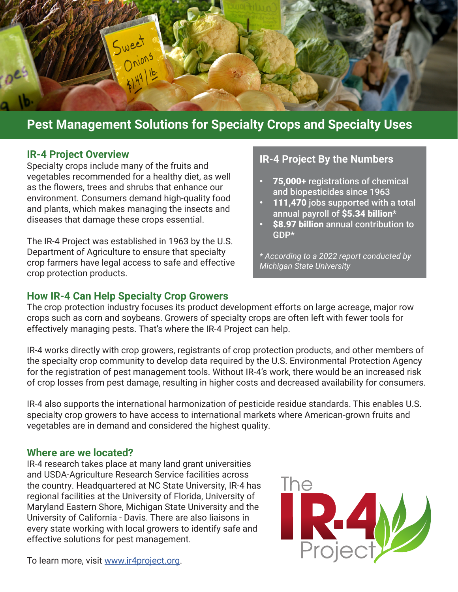

## **Pest Management Solutions for Specialty Crops and Specialty Uses**

#### **IR-4 Project Overview**

Specialty crops include many of the fruits and vegetables recommended for a healthy diet, as well as the flowers, trees and shrubs that enhance our environment. Consumers demand high-quality food and plants, which makes managing the insects and diseases that damage these crops essential.

The IR-4 Project was established in 1963 by the U.S. Department of Agriculture to ensure that specialty crop farmers have legal access to safe and effective crop protection products.

#### **How IR-4 Can Help Specialty Crop Growers**

## **IR-4 Project By the Numbers**

- 75,000+ registrations of chemical and biopesticides since 1963
- 111,470 jobs supported with a total annual payroll of \$5.34 billion\*
- **\$8.97 billion** annual contribution to GDP\*

*\* According to a 2022 report conducted by Michigan State University*

The crop protection industry focuses its product development efforts on large acreage, major row crops such as corn and soybeans. Growers of specialty crops are often left with fewer tools for effectively managing pests. That's where the IR-4 Project can help.

IR-4 works directly with crop growers, registrants of crop protection products, and other members of the specialty crop community to develop data required by the U.S. Environmental Protection Agency for the registration of pest management tools. Without IR-4's work, there would be an increased risk of crop losses from pest damage, resulting in higher costs and decreased availability for consumers.

IR-4 also supports the international harmonization of pesticide residue standards. This enables U.S. specialty crop growers to have access to international markets where American-grown fruits and vegetables are in demand and considered the highest quality.

#### **Where are we located?**

IR-4 research takes place at many land grant universities and USDA-Agriculture Research Service facilities across the country. Headquartered at NC State University, IR-4 has regional facilities at the University of Florida, University of Maryland Eastern Shore, Michigan State University and the University of California - Davis. There are also liaisons in every state working with local growers to identify safe and effective solutions for pest management.



To learn more, visit [www.ir4project.org.](http://www.ir4project.org)